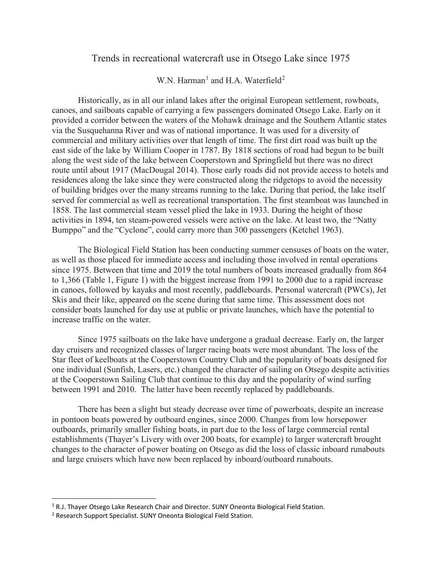## Trends in recreational watercraft use in Otsego Lake since 1975

## W.N. Harman<sup>[1](#page-0-0)</sup> and H.A. Waterfield<sup>[2](#page-0-1)</sup>

 Historically, as in all our inland lakes after the original European settlement, rowboats, canoes, and sailboats capable of carrying a few passengers dominated Otsego Lake. Early on it provided a corridor between the waters of the Mohawk drainage and the Southern Atlantic states via the Susquehanna River and was of national importance. It was used for a diversity of commercial and military activities over that length of time. The first dirt road was built up the east side of the lake by William Cooper in 1787. By 1818 sections of road had begun to be built along the west side of the lake between Cooperstown and Springfield but there was no direct route until about 1917 (MacDougal 2014). Those early roads did not provide access to hotels and residences along the lake since they were constructed along the ridgetops to avoid the necessity of building bridges over the many streams running to the lake. During that period, the lake itself served for commercial as well as recreational transportation. The first steamboat was launched in 1858. The last commercial steam vessel plied the lake in 1933. During the height of those activities in 1894, ten steam-powered vessels were active on the lake. At least two, the "Natty Bumppo" and the "Cyclone", could carry more than 300 passengers (Ketchel 1963).

The Biological Field Station has been conducting summer censuses of boats on the water, as well as those placed for immediate access and including those involved in rental operations since 1975. Between that time and 2019 the total numbers of boats increased gradually from 864 to 1,366 (Table 1, Figure 1) with the biggest increase from 1991 to 2000 due to a rapid increase in canoes, followed by kayaks and most recently, paddleboards. Personal watercraft (PWCs), Jet Skis and their like, appeared on the scene during that same time. This assessment does not consider boats launched for day use at public or private launches, which have the potential to increase traffic on the water.

Since 1975 sailboats on the lake have undergone a gradual decrease. Early on, the larger day cruisers and recognized classes of larger racing boats were most abundant. The loss of the Star fleet of keelboats at the Cooperstown Country Club and the popularity of boats designed for one individual (Sunfish, Lasers, etc.) changed the character of sailing on Otsego despite activities at the Cooperstown Sailing Club that continue to this day and the popularity of wind surfing between 1991 and 2010. The latter have been recently replaced by paddleboards.

There has been a slight but steady decrease over time of powerboats, despite an increase in pontoon boats powered by outboard engines, since 2000. Changes from low horsepower outboards, primarily smaller fishing boats, in part due to the loss of large commercial rental establishments (Thayer's Livery with over 200 boats, for example) to larger watercraft brought changes to the character of power boating on Otsego as did the loss of classic inboard runabouts and large cruisers which have now been replaced by inboard/outboard runabouts.

<span id="page-0-0"></span> $1$  R.J. Thayer Otsego Lake Research Chair and Director. SUNY Oneonta Biological Field Station.

<span id="page-0-1"></span><sup>&</sup>lt;sup>2</sup> Research Support Specialist. SUNY Oneonta Biological Field Station.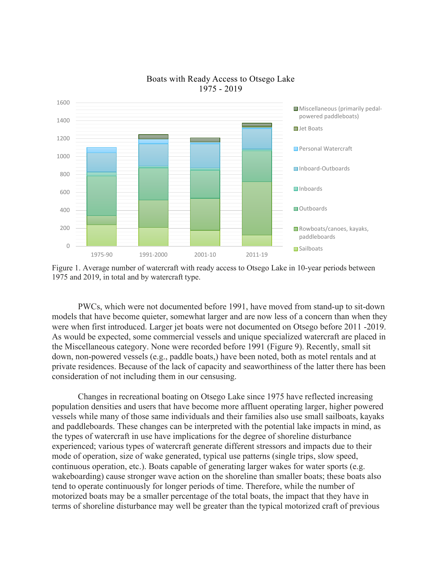

## Boats with Ready Access to Otsego Lake 1975 - 2019

Figure 1. Average number of watercraft with ready access to Otsego Lake in 10-year periods between 1975 and 2019, in total and by watercraft type.

PWCs, which were not documented before 1991, have moved from stand-up to sit-down models that have become quieter, somewhat larger and are now less of a concern than when they were when first introduced. Larger jet boats were not documented on Otsego before 2011 -2019. As would be expected, some commercial vessels and unique specialized watercraft are placed in the Miscellaneous category. None were recorded before 1991 (Figure 9). Recently, small sit down, non-powered vessels (e.g., paddle boats,) have been noted, both as motel rentals and at private residences. Because of the lack of capacity and seaworthiness of the latter there has been consideration of not including them in our censusing.

Changes in recreational boating on Otsego Lake since 1975 have reflected increasing population densities and users that have become more affluent operating larger, higher powered vessels while many of those same individuals and their families also use small sailboats, kayaks and paddleboards. These changes can be interpreted with the potential lake impacts in mind, as the types of watercraft in use have implications for the degree of shoreline disturbance experienced; various types of watercraft generate different stressors and impacts due to their mode of operation, size of wake generated, typical use patterns (single trips, slow speed, continuous operation, etc.). Boats capable of generating larger wakes for water sports (e.g. wakeboarding) cause stronger wave action on the shoreline than smaller boats; these boats also tend to operate continuously for longer periods of time. Therefore, while the number of motorized boats may be a smaller percentage of the total boats, the impact that they have in terms of shoreline disturbance may well be greater than the typical motorized craft of previous